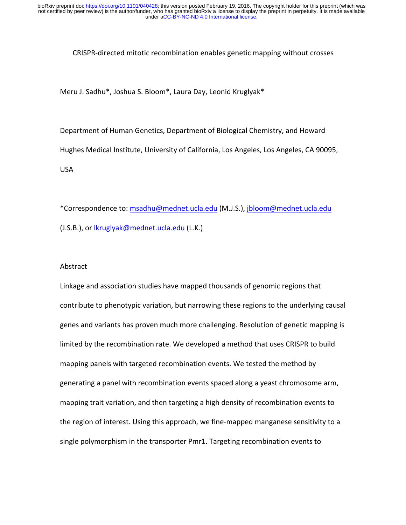## CRISPR-directed mitotic recombination enables genetic mapping without crosses

Meru J. Sadhu\*, Joshua S. Bloom\*, Laura Day, Leonid Kruglyak\*

Department of Human Genetics, Department of Biological Chemistry, and Howard Hughes Medical Institute, University of California, Los Angeles, Los Angeles, CA 90095, USA

\*Correspondence to: msadhu@mednet.ucla.edu (M.J.S.), jbloom@mednet.ucla.edu (J.S.B.), or *lkruglyak@mednet.ucla.edu* (L.K.)

## Abstract

Linkage and association studies have mapped thousands of genomic regions that contribute to phenotypic variation, but narrowing these regions to the underlying causal genes and variants has proven much more challenging. Resolution of genetic mapping is limited by the recombination rate. We developed a method that uses CRISPR to build mapping panels with targeted recombination events. We tested the method by generating a panel with recombination events spaced along a yeast chromosome arm, mapping trait variation, and then targeting a high density of recombination events to the region of interest. Using this approach, we fine-mapped manganese sensitivity to a single polymorphism in the transporter Pmr1. Targeting recombination events to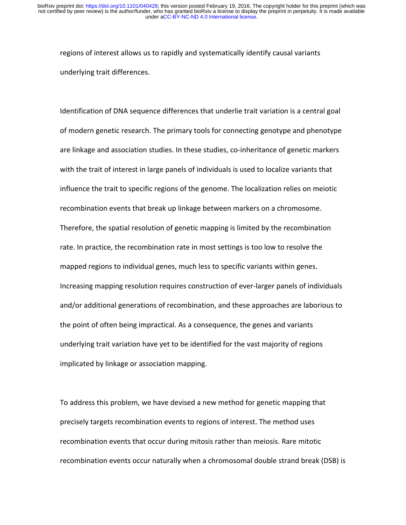regions of interest allows us to rapidly and systematically identify causal variants underlying trait differences.

Identification of DNA sequence differences that underlie trait variation is a central goal of modern genetic research. The primary tools for connecting genotype and phenotype are linkage and association studies. In these studies, co-inheritance of genetic markers with the trait of interest in large panels of individuals is used to localize variants that influence the trait to specific regions of the genome. The localization relies on meiotic recombination events that break up linkage between markers on a chromosome. Therefore, the spatial resolution of genetic mapping is limited by the recombination rate. In practice, the recombination rate in most settings is too low to resolve the mapped regions to individual genes, much less to specific variants within genes. Increasing mapping resolution requires construction of ever-larger panels of individuals and/or additional generations of recombination, and these approaches are laborious to the point of often being impractical. As a consequence, the genes and variants underlying trait variation have yet to be identified for the vast majority of regions implicated by linkage or association mapping.

To address this problem, we have devised a new method for genetic mapping that precisely targets recombination events to regions of interest. The method uses recombination events that occur during mitosis rather than meiosis. Rare mitotic recombination events occur naturally when a chromosomal double strand break (DSB) is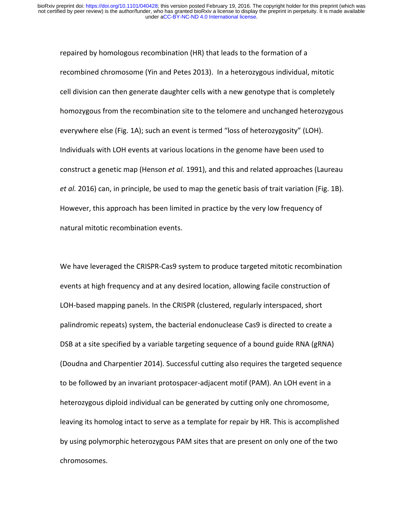repaired by homologous recombination (HR) that leads to the formation of a recombined chromosome (Yin and Petes 2013). In a heterozygous individual, mitotic cell division can then generate daughter cells with a new genotype that is completely homozygous from the recombination site to the telomere and unchanged heterozygous everywhere else (Fig. 1A); such an event is termed "loss of heterozygosity" (LOH). Individuals with LOH events at various locations in the genome have been used to construct a genetic map (Henson *et al.* 1991), and this and related approaches (Laureau *et al.* 2016) can, in principle, be used to map the genetic basis of trait variation (Fig. 1B). However, this approach has been limited in practice by the very low frequency of natural mitotic recombination events.

We have leveraged the CRISPR-Cas9 system to produce targeted mitotic recombination events at high frequency and at any desired location, allowing facile construction of LOH-based mapping panels. In the CRISPR (clustered, regularly interspaced, short palindromic repeats) system, the bacterial endonuclease Cas9 is directed to create a DSB at a site specified by a variable targeting sequence of a bound guide RNA (gRNA) (Doudna and Charpentier 2014). Successful cutting also requires the targeted sequence to be followed by an invariant protospacer-adjacent motif (PAM). An LOH event in a heterozygous diploid individual can be generated by cutting only one chromosome, leaving its homolog intact to serve as a template for repair by HR. This is accomplished by using polymorphic heterozygous PAM sites that are present on only one of the two chromosomes.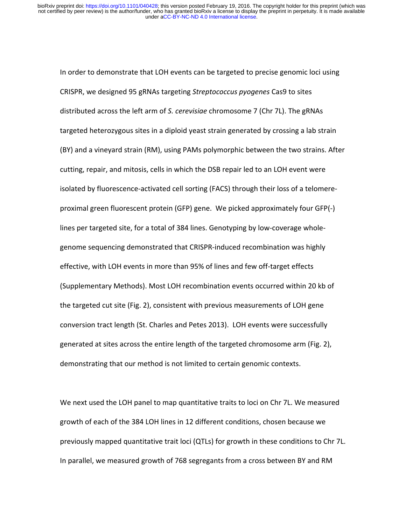In order to demonstrate that LOH events can be targeted to precise genomic loci using CRISPR, we designed 95 gRNAs targeting *Streptococcus pyogenes* Cas9 to sites distributed across the left arm of *S. cerevisiae* chromosome 7 (Chr 7L). The gRNAs targeted heterozygous sites in a diploid yeast strain generated by crossing a lab strain (BY) and a vineyard strain (RM), using PAMs polymorphic between the two strains. After cutting, repair, and mitosis, cells in which the DSB repair led to an LOH event were isolated by fluorescence-activated cell sorting (FACS) through their loss of a telomereproximal green fluorescent protein (GFP) gene. We picked approximately four GFP(-) lines per targeted site, for a total of 384 lines. Genotyping by low-coverage wholegenome sequencing demonstrated that CRISPR-induced recombination was highly effective, with LOH events in more than 95% of lines and few off-target effects (Supplementary Methods). Most LOH recombination events occurred within 20 kb of the targeted cut site (Fig. 2), consistent with previous measurements of LOH gene conversion tract length (St. Charles and Petes 2013). LOH events were successfully generated at sites across the entire length of the targeted chromosome arm (Fig. 2), demonstrating that our method is not limited to certain genomic contexts.

We next used the LOH panel to map quantitative traits to loci on Chr 7L. We measured growth of each of the 384 LOH lines in 12 different conditions, chosen because we previously mapped quantitative trait loci (QTLs) for growth in these conditions to Chr 7L. In parallel, we measured growth of 768 segregants from a cross between BY and RM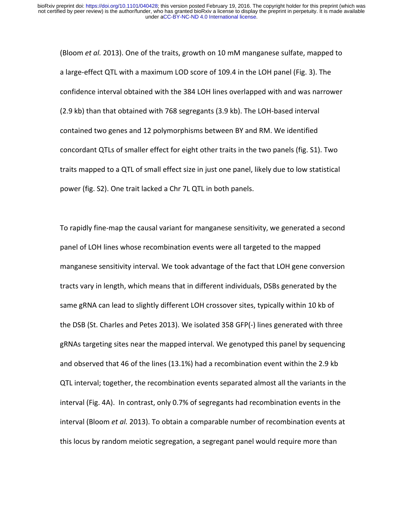(Bloom *et al.* 2013). One of the traits, growth on 10 mM manganese sulfate, mapped to a large-effect QTL with a maximum LOD score of 109.4 in the LOH panel (Fig. 3). The confidence interval obtained with the 384 LOH lines overlapped with and was narrower (2.9 kb) than that obtained with 768 segregants (3.9 kb). The LOH-based interval contained two genes and 12 polymorphisms between BY and RM. We identified concordant QTLs of smaller effect for eight other traits in the two panels (fig. S1). Two traits mapped to a QTL of small effect size in just one panel, likely due to low statistical power (fig. S2). One trait lacked a Chr 7L QTL in both panels.

To rapidly fine-map the causal variant for manganese sensitivity, we generated a second panel of LOH lines whose recombination events were all targeted to the mapped manganese sensitivity interval. We took advantage of the fact that LOH gene conversion tracts vary in length, which means that in different individuals, DSBs generated by the same gRNA can lead to slightly different LOH crossover sites, typically within 10 kb of the DSB (St. Charles and Petes 2013). We isolated 358 GFP(-) lines generated with three gRNAs targeting sites near the mapped interval. We genotyped this panel by sequencing and observed that 46 of the lines  $(13.1%)$  had a recombination event within the 2.9 kb QTL interval; together, the recombination events separated almost all the variants in the interval (Fig. 4A). In contrast, only 0.7% of segregants had recombination events in the interval (Bloom *et al.* 2013). To obtain a comparable number of recombination events at this locus by random meiotic segregation, a segregant panel would require more than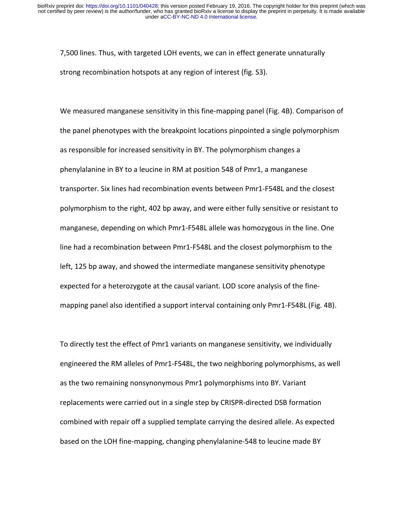7,500 lines. Thus, with targeted LOH events, we can in effect generate unnaturally strong recombination hotspots at any region of interest (fig. S3).

We measured manganese sensitivity in this fine-mapping panel (Fig. 4B). Comparison of the panel phenotypes with the breakpoint locations pinpointed a single polymorphism as responsible for increased sensitivity in BY. The polymorphism changes a phenylalanine in BY to a leucine in RM at position 548 of Pmr1, a manganese transporter. Six lines had recombination events between Pmr1-F548L and the closest polymorphism to the right, 402 bp away, and were either fully sensitive or resistant to manganese, depending on which Pmr1-F548L allele was homozygous in the line. One line had a recombination between Pmr1-F548L and the closest polymorphism to the left, 125 bp away, and showed the intermediate manganese sensitivity phenotype expected for a heterozygote at the causal variant. LOD score analysis of the finemapping panel also identified a support interval containing only Pmr1-F548L (Fig. 4B).

To directly test the effect of Pmr1 variants on manganese sensitivity, we individually engineered the RM alleles of Pmr1-F548L, the two neighboring polymorphisms, as well as the two remaining nonsynonymous Pmr1 polymorphisms into BY. Variant replacements were carried out in a single step by CRISPR-directed DSB formation combined with repair off a supplied template carrying the desired allele. As expected based on the LOH fine-mapping, changing phenylalanine-548 to leucine made BY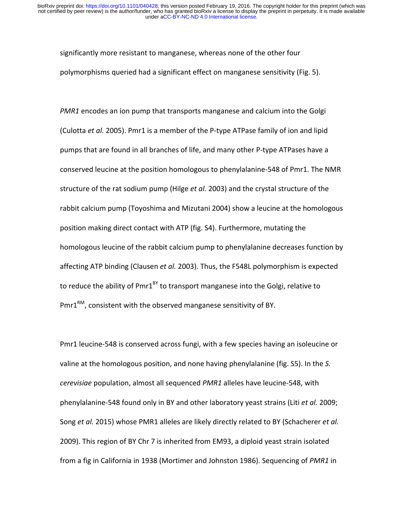significantly more resistant to manganese, whereas none of the other four polymorphisms queried had a significant effect on manganese sensitivity (Fig. 5).

*PMR1* encodes an ion pump that transports manganese and calcium into the Golgi (Culotta *et al.* 2005). Pmr1 is a member of the P-type ATPase family of ion and lipid pumps that are found in all branches of life, and many other P-type ATPases have a conserved leucine at the position homologous to phenylalanine-548 of Pmr1. The NMR structure of the rat sodium pump (Hilge *et al.* 2003) and the crystal structure of the rabbit calcium pump (Toyoshima and Mizutani 2004) show a leucine at the homologous position making direct contact with ATP (fig. S4). Furthermore, mutating the homologous leucine of the rabbit calcium pump to phenylalanine decreases function by affecting ATP binding (Clausen *et al.* 2003). Thus, the F548L polymorphism is expected to reduce the ability of Pmr1<sup>BY</sup> to transport manganese into the Golgi, relative to  $Pmr1^{RM}$ , consistent with the observed manganese sensitivity of BY.

Pmr1 leucine-548 is conserved across fungi, with a few species having an isoleucine or valine at the homologous position, and none having phenylalanine (fig. S5). In the S. *cerevisiae* population, almost all sequenced *PMR1* alleles have leucine-548, with phenylalanine-548 found only in BY and other laboratory yeast strains (Liti *et al.* 2009; Song *et al.* 2015) whose PMR1 alleles are likely directly related to BY (Schacherer *et al.* 2009). This region of BY Chr 7 is inherited from EM93, a diploid yeast strain isolated from a fig in California in 1938 (Mortimer and Johnston 1986). Sequencing of *PMR1* in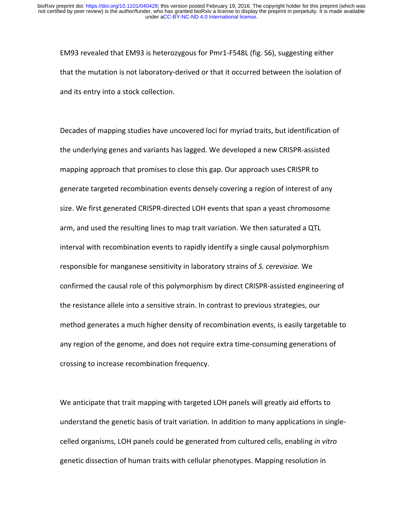EM93 revealed that EM93 is heterozygous for Pmr1-F548L (fig. S6), suggesting either that the mutation is not laboratory-derived or that it occurred between the isolation of and its entry into a stock collection.

Decades of mapping studies have uncovered loci for myriad traits, but identification of the underlying genes and variants has lagged. We developed a new CRISPR-assisted mapping approach that promises to close this gap. Our approach uses CRISPR to generate targeted recombination events densely covering a region of interest of any size. We first generated CRISPR-directed LOH events that span a yeast chromosome arm, and used the resulting lines to map trait variation. We then saturated a QTL interval with recombination events to rapidly identify a single causal polymorphism responsible for manganese sensitivity in laboratory strains of S. cerevisiae. We confirmed the causal role of this polymorphism by direct CRISPR-assisted engineering of the resistance allele into a sensitive strain. In contrast to previous strategies, our method generates a much higher density of recombination events, is easily targetable to any region of the genome, and does not require extra time-consuming generations of crossing to increase recombination frequency.

We anticipate that trait mapping with targeted LOH panels will greatly aid efforts to understand the genetic basis of trait variation. In addition to many applications in singlecelled organisms, LOH panels could be generated from cultured cells, enabling *in vitro* genetic dissection of human traits with cellular phenotypes. Mapping resolution in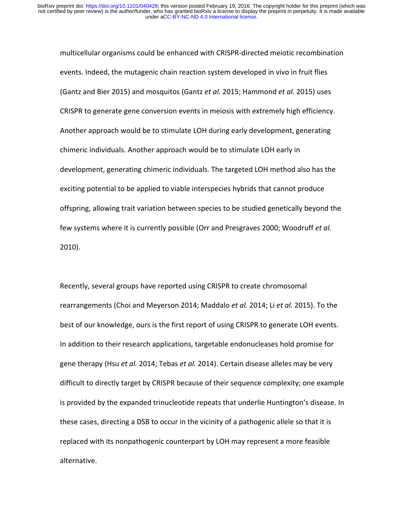multicellular organisms could be enhanced with CRISPR-directed meiotic recombination events. Indeed, the mutagenic chain reaction system developed in vivo in fruit flies (Gantz and Bier 2015) and mosquitos (Gantz *et al.* 2015; Hammond *et al.* 2015) uses CRISPR to generate gene conversion events in meiosis with extremely high efficiency. Another approach would be to stimulate LOH during early development, generating chimeric individuals. Another approach would be to stimulate LOH early in development, generating chimeric individuals. The targeted LOH method also has the exciting potential to be applied to viable interspecies hybrids that cannot produce offspring, allowing trait variation between species to be studied genetically beyond the few systems where it is currently possible (Orr and Presgraves 2000; Woodruff *et al.* 2010).

Recently, several groups have reported using CRISPR to create chromosomal rearrangements (Choi and Meyerson 2014; Maddalo *et al.* 2014; Li *et al.* 2015). To the best of our knowledge, ours is the first report of using CRISPR to generate LOH events. In addition to their research applications, targetable endonucleases hold promise for gene therapy (Hsu *et al.* 2014; Tebas *et al.* 2014). Certain disease alleles may be very difficult to directly target by CRISPR because of their sequence complexity; one example is provided by the expanded trinucleotide repeats that underlie Huntington's disease. In these cases, directing a DSB to occur in the vicinity of a pathogenic allele so that it is replaced with its nonpathogenic counterpart by LOH may represent a more feasible alternative.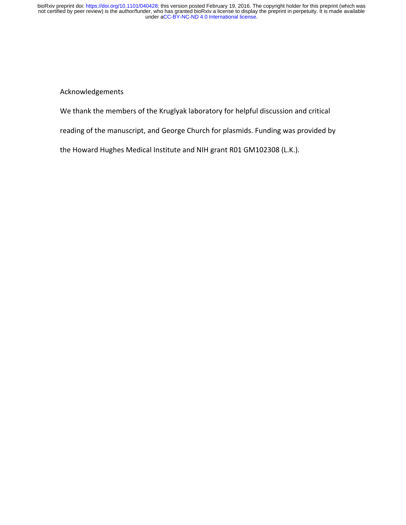Acknowledgements

We thank the members of the Kruglyak laboratory for helpful discussion and critical

reading of the manuscript, and George Church for plasmids. Funding was provided by

the Howard Hughes Medical Institute and NIH grant R01 GM102308 (L.K.).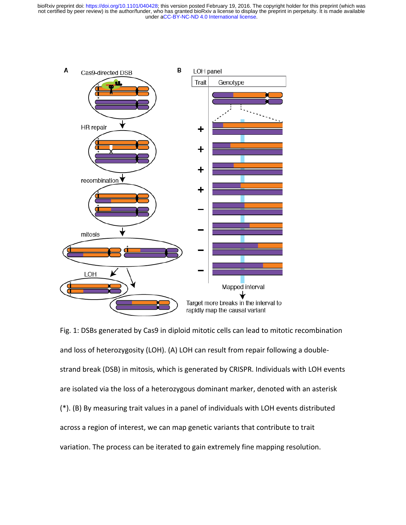

Fig. 1: DSBs generated by Cas9 in diploid mitotic cells can lead to mitotic recombination and loss of heterozygosity (LOH). (A) LOH can result from repair following a doublestrand break (DSB) in mitosis, which is generated by CRISPR. Individuals with LOH events are isolated via the loss of a heterozygous dominant marker, denoted with an asterisk  $(*)$ . (B) By measuring trait values in a panel of individuals with LOH events distributed across a region of interest, we can map genetic variants that contribute to trait variation. The process can be iterated to gain extremely fine mapping resolution.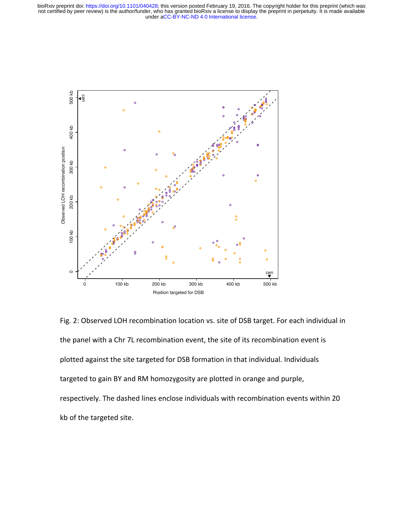

Fig. 2: Observed LOH recombination location vs. site of DSB target. For each individual in the panel with a Chr 7L recombination event, the site of its recombination event is plotted against the site targeted for DSB formation in that individual. Individuals targeted to gain BY and RM homozygosity are plotted in orange and purple, respectively. The dashed lines enclose individuals with recombination events within 20 kb of the targeted site.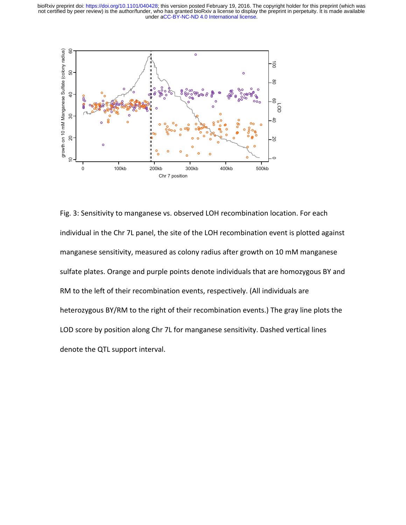

Fig. 3: Sensitivity to manganese vs. observed LOH recombination location. For each individual in the Chr 7L panel, the site of the LOH recombination event is plotted against manganese sensitivity, measured as colony radius after growth on 10 mM manganese sulfate plates. Orange and purple points denote individuals that are homozygous BY and RM to the left of their recombination events, respectively. (All individuals are heterozygous BY/RM to the right of their recombination events.) The gray line plots the LOD score by position along Chr 7L for manganese sensitivity. Dashed vertical lines  $\frac{2}{3}$ <br>  $\frac{2}{3}$ <br>  $\frac{2}{3}$ <br>  $\frac{2}{3}$ <br>  $\frac{2}{3}$ <br>  $\frac{2}{3}$ <br>  $\frac{2}{3}$ <br>  $\frac{2}{3}$ <br>  $\frac{2}{3}$ <br>  $\frac{2}{3}$ <br>  $\frac{2}{3}$ <br>  $\frac{2}{3}$ <br>  $\frac{2}{3}$ <br>  $\frac{2}{3}$ <br>  $\frac{2}{3}$ <br>  $\frac{2}{3}$ <br>  $\frac{2}{3}$ <br>  $\frac{2}{3}$ <br>  $\frac{2}{3}$ <br>  $\frac{2}{3}$ <br>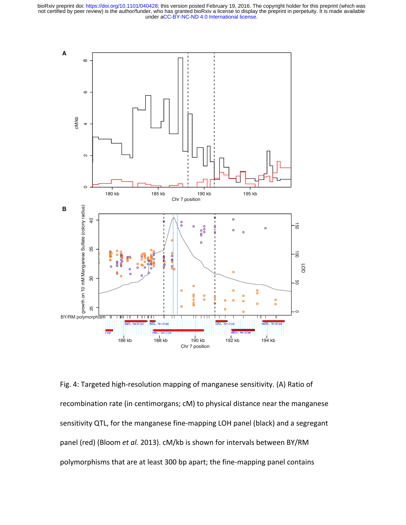

Fig. 4: Targeted high-resolution mapping of manganese sensitivity. (A) Ratio of recombination rate (in centimorgans; cM) to physical distance near the manganese sensitivity QTL, for the manganese fine-mapping LOH panel (black) and a segregant panel (red) (Bloom et al. 2013). cM/kb is shown for intervals between BY/RM polymorphisms that are at least 300 bp apart; the fine-mapping panel contains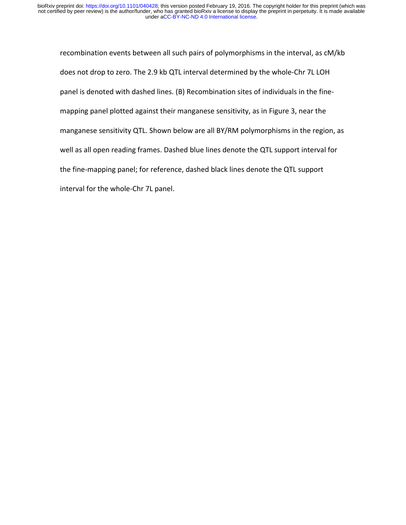recombination events between all such pairs of polymorphisms in the interval, as cM/kb does not drop to zero. The 2.9 kb QTL interval determined by the whole-Chr 7L LOH panel is denoted with dashed lines. (B) Recombination sites of individuals in the finemapping panel plotted against their manganese sensitivity, as in Figure 3, near the manganese sensitivity QTL. Shown below are all BY/RM polymorphisms in the region, as well as all open reading frames. Dashed blue lines denote the QTL support interval for the fine-mapping panel; for reference, dashed black lines denote the QTL support interval for the whole-Chr 7L panel.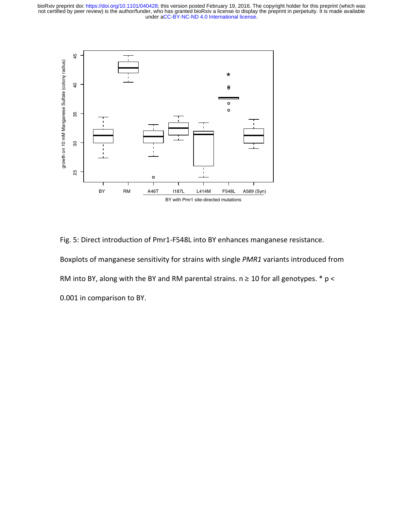

Fig. 5: Direct introduction of Pmr1-F548L into BY enhances manganese resistance. Boxplots of manganese sensitivity for strains with single *PMR1* variants introduced from RM into BY, along with the BY and RM parental strains.  $n \ge 10$  for all genotypes.  $* p <$ 0.001 in comparison to BY.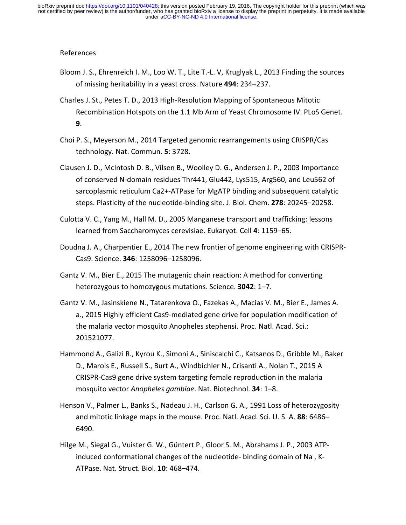## References

- Bloom J. S., Ehrenreich I. M., Loo W. T., Lite T.-L. V, Kruglyak L., 2013 Finding the sources of missing heritability in a yeast cross. Nature **494**: 234–237.
- Charles J. St., Petes T. D., 2013 High-Resolution Mapping of Spontaneous Mitotic Recombination Hotspots on the 1.1 Mb Arm of Yeast Chromosome IV. PLoS Genet. **9**.
- Choi P. S., Meyerson M., 2014 Targeted genomic rearrangements using CRISPR/Cas technology. Nat. Commun. **5**: 3728.
- Clausen J. D., McIntosh D. B., Vilsen B., Woolley D. G., Andersen J. P., 2003 Importance of conserved N-domain residues Thr441, Glu442, Lys515, Arg560, and Leu562 of sarcoplasmic reticulum Ca2+-ATPase for MgATP binding and subsequent catalytic steps. Plasticity of the nucleotide-binding site. J. Biol. Chem. **278**: 20245–20258.
- Culotta V. C., Yang M., Hall M. D., 2005 Manganese transport and trafficking: lessons learned from Saccharomyces cerevisiae. Eukaryot. Cell 4: 1159–65.
- Doudna J. A., Charpentier E., 2014 The new frontier of genome engineering with CRISPR-Cas9. Science. **346**: 1258096–1258096.
- Gantz V. M., Bier E., 2015 The mutagenic chain reaction: A method for converting heterozygous to homozygous mutations. Science. **3042**: 1–7.
- Gantz V. M., Jasinskiene N., Tatarenkova O., Fazekas A., Macias V. M., Bier E., James A. a., 2015 Highly efficient Cas9-mediated gene drive for population modification of the malaria vector mosquito Anopheles stephensi. Proc. Natl. Acad. Sci.: 201521077.
- Hammond A., Galizi R., Kyrou K., Simoni A., Siniscalchi C., Katsanos D., Gribble M., Baker D., Marois E., Russell S., Burt A., Windbichler N., Crisanti A., Nolan T., 2015 A CRISPR-Cas9 gene drive system targeting female reproduction in the malaria mosquito vector *Anopheles gambiae*. Nat. Biotechnol. **34**: 1–8.
- Henson V., Palmer L., Banks S., Nadeau J. H., Carlson G. A., 1991 Loss of heterozygosity and mitotic linkage maps in the mouse. Proc. Natl. Acad. Sci. U. S. A. 88: 6486– 6490.
- Hilge M., Siegal G., Vuister G. W., Güntert P., Gloor S. M., Abrahams J. P., 2003 ATPinduced conformational changes of the nucleotide- binding domain of Na, K-ATPase. Nat. Struct. Biol. **10**: 468–474.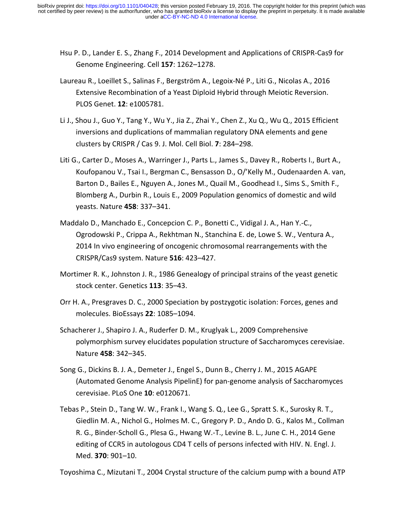- Hsu P. D., Lander E. S., Zhang F., 2014 Development and Applications of CRISPR-Cas9 for Genome Engineering. Cell **157**: 1262–1278.
- Laureau R., Loeillet S., Salinas F., Bergström A., Legoix-Né P., Liti G., Nicolas A., 2016 Extensive Recombination of a Yeast Diploid Hybrid through Meiotic Reversion. PLOS Genet. **12**: e1005781.
- Li J., Shou J., Guo Y., Tang Y., Wu Y., Jia Z., Zhai Y., Chen Z., Xu Q., Wu Q., 2015 Efficient inversions and duplications of mammalian regulatory DNA elements and gene clusters by CRISPR / Cas 9. J. Mol. Cell Biol. **7**: 284–298.
- Liti G., Carter D., Moses A., Warringer J., Parts L., James S., Davey R., Roberts I., Burt A., Koufopanou V., Tsai I., Bergman C., Bensasson D., O/'Kelly M., Oudenaarden A. van, Barton D., Bailes E., Nguyen A., Jones M., Quail M., Goodhead I., Sims S., Smith F., Blomberg A., Durbin R., Louis E., 2009 Population genomics of domestic and wild yeasts. Nature **458**: 337–341.
- Maddalo D., Manchado E., Concepcion C. P., Bonetti C., Vidigal J. A., Han Y.-C., Ogrodowski P., Crippa A., Rekhtman N., Stanchina E. de, Lowe S. W., Ventura A., 2014 In vivo engineering of oncogenic chromosomal rearrangements with the CRISPR/Cas9 system. Nature **516**: 423–427.
- Mortimer R. K., Johnston J. R., 1986 Genealogy of principal strains of the yeast genetic stock center. Genetics **113**: 35–43.
- Orr H. A., Presgraves D. C., 2000 Speciation by postzygotic isolation: Forces, genes and molecules. BioEssays **22**: 1085–1094.
- Schacherer J., Shapiro J. A., Ruderfer D. M., Kruglyak L., 2009 Comprehensive polymorphism survey elucidates population structure of Saccharomyces cerevisiae. Nature **458**: 342–345.
- Song G., Dickins B. J. A., Demeter J., Engel S., Dunn B., Cherry J. M., 2015 AGAPE (Automated Genome Analysis PipelinE) for pan-genome analysis of Saccharomyces cerevisiae. PLoS One **10**: e0120671.
- Tebas P., Stein D., Tang W. W., Frank I., Wang S. Q., Lee G., Spratt S. K., Surosky R. T., Giedlin M. A., Nichol G., Holmes M. C., Gregory P. D., Ando D. G., Kalos M., Collman R. G., Binder-Scholl G., Plesa G., Hwang W.-T., Levine B. L., June C. H., 2014 Gene editing of CCR5 in autologous CD4 T cells of persons infected with HIV. N. Engl. J. Med. **370**: 901–10.

Toyoshima C., Mizutani T., 2004 Crystal structure of the calcium pump with a bound ATP